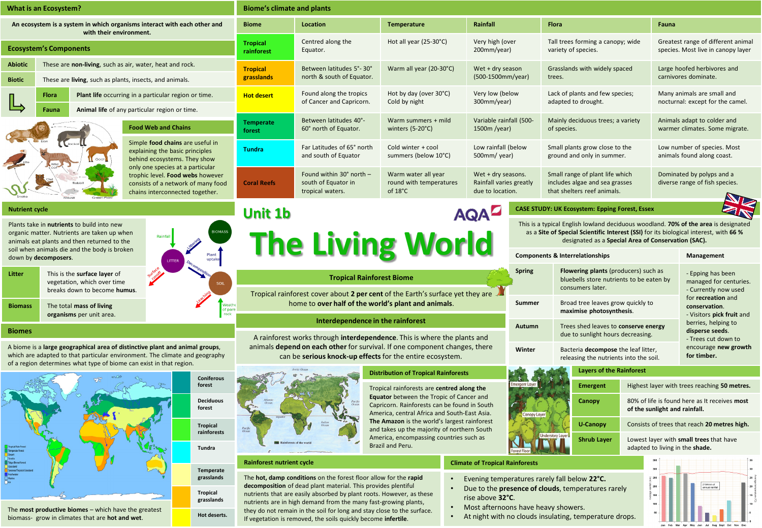| What is an Ecosystem?                                                                                                                                                                                                              |                                                                                                                     |                                                                        | <b>Biome's climate and plants</b>                                                                                                                                                                                                                              |                                                                                                                                                                                                                   |                                                                                             |                                         |                                                                                                                             |                                                                                                      |                                                               |                                                                                                                                         |  |
|------------------------------------------------------------------------------------------------------------------------------------------------------------------------------------------------------------------------------------|---------------------------------------------------------------------------------------------------------------------|------------------------------------------------------------------------|----------------------------------------------------------------------------------------------------------------------------------------------------------------------------------------------------------------------------------------------------------------|-------------------------------------------------------------------------------------------------------------------------------------------------------------------------------------------------------------------|---------------------------------------------------------------------------------------------|-----------------------------------------|-----------------------------------------------------------------------------------------------------------------------------|------------------------------------------------------------------------------------------------------|---------------------------------------------------------------|-----------------------------------------------------------------------------------------------------------------------------------------|--|
| An ecosystem is a system in which organisms interact with each other and<br>with their environment.                                                                                                                                |                                                                                                                     |                                                                        | <b>Biome</b>                                                                                                                                                                                                                                                   | Location                                                                                                                                                                                                          | Temperature                                                                                 | Rainfall                                | Flora                                                                                                                       |                                                                                                      | Fauna                                                         |                                                                                                                                         |  |
| <b>Ecosystem's Components</b>                                                                                                                                                                                                      |                                                                                                                     |                                                                        | <b>Tropical</b><br>rainforest                                                                                                                                                                                                                                  | Centred along the<br>Equator.                                                                                                                                                                                     | Hot all year (25-30°C)                                                                      | Very high (over<br>200mm/year)          |                                                                                                                             | Tall trees forming a canopy; wide<br>variety of species.                                             |                                                               | Greatest range of different animal<br>species. Most live in canopy layer                                                                |  |
| <b>Abiotic</b><br><b>Biotic</b>                                                                                                                                                                                                    | These are non-living, such as air, water, heat and rock.<br>These are living, such as plants, insects, and animals. |                                                                        | <b>Tropical</b><br>grasslands                                                                                                                                                                                                                                  | Between latitudes 5°-30°<br>north & south of Equator.                                                                                                                                                             | Warm all year (20-30°C)<br>Wet + dry season<br>(500-1500mm/year)                            |                                         |                                                                                                                             | Grasslands with widely spaced<br>trees.                                                              |                                                               | Large hoofed herbivores and<br>carnivores dominate.                                                                                     |  |
|                                                                                                                                                                                                                                    | Flora<br>Plant life occurring in a particular region or time.                                                       |                                                                        | <b>Hot desert</b>                                                                                                                                                                                                                                              | Found along the tropics<br>of Cancer and Capricorn.                                                                                                                                                               | Hot by day (over 30°C)<br>Cold by night                                                     | Very low (below<br>300mm/year)          |                                                                                                                             | Lack of plants and few species;<br>adapted to drought.                                               |                                                               | Many animals are small and<br>nocturnal: except for the camel.                                                                          |  |
| Animal life of any particular region or time.<br>Fauna<br><b>Food Web and Chains</b>                                                                                                                                               |                                                                                                                     |                                                                        | Between latitudes 40°-<br><b>Temperate</b><br>60° north of Equator.<br>forest                                                                                                                                                                                  |                                                                                                                                                                                                                   | Warm summers + mild<br>winters $(5-20^{\circ}C)$                                            | Variable rainfall (500-<br>1500m /year) |                                                                                                                             | Mainly deciduous trees; a variety<br>of species.                                                     | Animals adapt to colder and<br>warmer climates. Some migrate. |                                                                                                                                         |  |
|                                                                                                                                                                                                                                    | Simple food chains are useful in<br>explaining the basic principles<br>behind ecosystems. They show                 |                                                                        | <b>Tundra</b>                                                                                                                                                                                                                                                  | Far Latitudes of 65° north<br>and south of Equator                                                                                                                                                                | Cold winter + cool<br>summers (below 10°C)                                                  |                                         | Low rainfall (below<br>Small plants grow close to the<br>500mm/ year)<br>ground and only in summer.                         |                                                                                                      |                                                               | Low number of species. Most<br>animals found along coast.                                                                               |  |
|                                                                                                                                                                                                                                    | only one species at a particular<br>chains interconnected together.                                                 | trophic level. Food webs however<br>consists of a network of many food | <b>Coral Reefs</b>                                                                                                                                                                                                                                             | Found within 30° north -<br>south of Equator in<br>tropical waters.                                                                                                                                               | Warm water all year<br>round with temperatures<br>of 18°C                                   | Wet + dry seasons.<br>due to location.  | Small range of plant life which<br>Rainfall varies greatly<br>includes algae and sea grasses<br>that shelters reef animals. |                                                                                                      |                                                               | Dominated by polyps and a<br>diverse range of fish species.                                                                             |  |
| <b>Nutrient cycle</b>                                                                                                                                                                                                              |                                                                                                                     |                                                                        | <b>Unit 1b</b>                                                                                                                                                                                                                                                 |                                                                                                                                                                                                                   |                                                                                             | <b>AQA</b>                              |                                                                                                                             | <b>CASE STUDY: UK Ecosystem: Epping Forest, Essex</b>                                                |                                                               |                                                                                                                                         |  |
| Plants take in nutrients to build into new<br>organic matter. Nutrients are taken up when<br>animals eat plants and then returned to the<br>soil when animals die and the body is broken                                           |                                                                                                                     |                                                                        | This is a typical English lowland deciduous woodland. 70% of the area is designated<br>as a Site of Special Scientific Interest (SSI) for its biological interest, with 66 %<br><b>The Living World</b><br>designated as a Special Area of Conservation (SAC). |                                                                                                                                                                                                                   |                                                                                             |                                         |                                                                                                                             |                                                                                                      |                                                               |                                                                                                                                         |  |
| Plant<br>down by decomposers.<br>uptak                                                                                                                                                                                             |                                                                                                                     |                                                                        |                                                                                                                                                                                                                                                                |                                                                                                                                                                                                                   |                                                                                             |                                         |                                                                                                                             | <b>Components &amp; Interrelationships</b>                                                           |                                                               | Management                                                                                                                              |  |
| Litter                                                                                                                                                                                                                             | This is the surface layer of<br>vegetation, which over time<br>breaks down to become humus.                         |                                                                        | <b>Tropical Rainforest Biome</b><br>Tropical rainforest cover about 2 per cent of the Earth's surface yet they are                                                                                                                                             |                                                                                                                                                                                                                   |                                                                                             |                                         | <b>Spring</b>                                                                                                               | Flowering plants (producers) such as<br>bluebells store nutrients to be eaten by<br>consumers later. |                                                               | - Epping has been<br>managed for centuries.<br>- Currently now used<br>for recreation and<br>conservation.<br>- Visitors pick fruit and |  |
| <b>Biomass</b>                                                                                                                                                                                                                     | The total mass of living<br>organisms per unit area.                                                                | Veathi<br>of pare<br>rock                                              | home to over half of the world's plant and animals.                                                                                                                                                                                                            |                                                                                                                                                                                                                   |                                                                                             |                                         | Summer                                                                                                                      | Broad tree leaves grow quickly to<br>maximise photosynthesis.                                        |                                                               |                                                                                                                                         |  |
| <b>Biomes</b>                                                                                                                                                                                                                      |                                                                                                                     |                                                                        | Interdependence in the rainforest                                                                                                                                                                                                                              |                                                                                                                                                                                                                   |                                                                                             | Autumn                                  | berries, helping to<br>Trees shed leaves to conserve energy<br>disperse seeds.<br>due to sunlight hours decreasing.         |                                                                                                      |                                                               |                                                                                                                                         |  |
| A biome is a large geographical area of distinctive plant and animal groups,<br>which are adapted to that particular environment. The climate and geography<br>of a region determines what type of biome can exist in that region. |                                                                                                                     |                                                                        | A rainforest works through <b>interdependence</b> . This is where the plants and<br>animals <b>depend on each other</b> for survival. If one component changes, there<br>can be serious knock-up effects for the entire ecosystem.                             |                                                                                                                                                                                                                   |                                                                                             |                                         | Winter                                                                                                                      | Bacteria decompose the leaf litter,<br>for timber.<br>releasing the nutrients into the soil.         |                                                               | - Trees cut down to<br>encourage new growth                                                                                             |  |
|                                                                                                                                                                                                                                    |                                                                                                                     |                                                                        | <b>Distribution of Tropical Rainforests</b>                                                                                                                                                                                                                    |                                                                                                                                                                                                                   |                                                                                             |                                         |                                                                                                                             | <b>Layers of the Rainforest</b>                                                                      |                                                               |                                                                                                                                         |  |
| <b>Coniferous</b><br>forest                                                                                                                                                                                                        |                                                                                                                     | America, encompassing countries such as<br>Brazil and Peru.            |                                                                                                                                                                                                                                                                | Tropical rainforests are centred along the<br>Equator between the Tropic of Cancer and<br>Capricorn. Rainforests can be found in South<br>America, central Africa and South-East Asia.                            |                                                                                             | meraent Lave                            | <b>Emergent</b>                                                                                                             |                                                                                                      | Highest layer with trees reaching 50 metres.                  |                                                                                                                                         |  |
| <b>Deciduous</b><br>forest<br><b>Tropical</b><br>rainforests                                                                                                                                                                       |                                                                                                                     |                                                                        |                                                                                                                                                                                                                                                                |                                                                                                                                                                                                                   |                                                                                             | Canopy Laver                            | Canopy                                                                                                                      | 80% of life is found here as It receives most<br>of the sunlight and rainfall.                       |                                                               |                                                                                                                                         |  |
|                                                                                                                                                                                                                                    |                                                                                                                     |                                                                        |                                                                                                                                                                                                                                                                |                                                                                                                                                                                                                   | The Amazon is the world's largest rainforest<br>and takes up the majority of northern South |                                         | <b>U-Canopy</b>                                                                                                             | Consists of trees that reach 20 metres high.                                                         |                                                               |                                                                                                                                         |  |
| Tundra                                                                                                                                                                                                                             |                                                                                                                     |                                                                        |                                                                                                                                                                                                                                                                | Forest Floor                                                                                                                                                                                                      |                                                                                             | <b>Understory Laver</b><br>Shrub Layer  | adapted to living in the shade.                                                                                             | Lowest layer with small trees that have                                                              |                                                               |                                                                                                                                         |  |
|                                                                                                                                                                                                                                    |                                                                                                                     | Temperate<br>grasslands                                                | Rainforest nutrient cycle                                                                                                                                                                                                                                      | The hot, damp conditions on the forest floor allow for the rapid<br>decomposition of dead plant material. This provides plentiful                                                                                 |                                                                                             | <b>Climate of Tropical Rainforests</b>  |                                                                                                                             | Evening temperatures rarely fall below 22°C.                                                         |                                                               | 2104mm of<br>annual rainfal                                                                                                             |  |
| <b>Tropical</b><br>grasslands<br>The most productive biomes - which have the greatest                                                                                                                                              |                                                                                                                     |                                                                        |                                                                                                                                                                                                                                                                | nutrients that are easily absorbed by plant roots. However, as these<br>nutrients are in high demand from the many fast-growing plants,<br>they do not remain in the soil for long and stay close to the surface. |                                                                                             |                                         | Due to the presence of clouds, temperatures rarely<br>rise above 32°C.<br>Most afternoons have heavy showers.<br>$\bullet$  |                                                                                                      |                                                               |                                                                                                                                         |  |
| Hot deserts.<br>biomass- grow in climates that are hot and wet.                                                                                                                                                                    |                                                                                                                     |                                                                        | If vegetation is removed, the soils quickly become infertile.                                                                                                                                                                                                  | At night with no clouds insulating, temperature drops.                                                                                                                                                            |                                                                                             |                                         |                                                                                                                             |                                                                                                      |                                                               |                                                                                                                                         |  |

- Due to the **presence of clouds**, temperatures rarely rise above **32°C**.
- Most afternoons have heavy showers.
- At night with no clouds insulating, temperature drops.